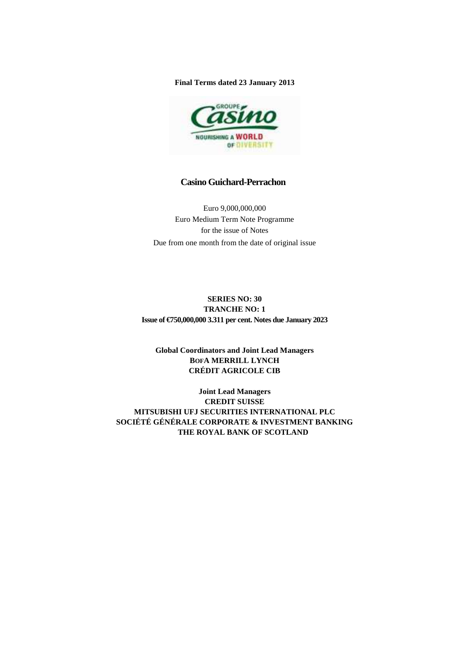**Final Terms dated 23 January 2013** 



# **Casino Guichard-Perrachon**

Euro 9,000,000,000 Euro Medium Term Note Programme for the issue of Notes Due from one month from the date of original issue

**SERIES NO: 30 TRANCHE NO: 1 Issue of €750,000,000 3.311 per cent. Notes due January 2023** 

# **Global Coordinators and Joint Lead Managers BOFA MERRILL LYNCH CRÉDIT AGRICOLE CIB**

**Joint Lead Managers CREDIT SUISSE MITSUBISHI UFJ SECURITIES INTERNATIONAL PLC SOCIÉTÉ GÉNÉRALE CORPORATE & INVESTMENT BANKING THE ROYAL BANK OF SCOTLAND**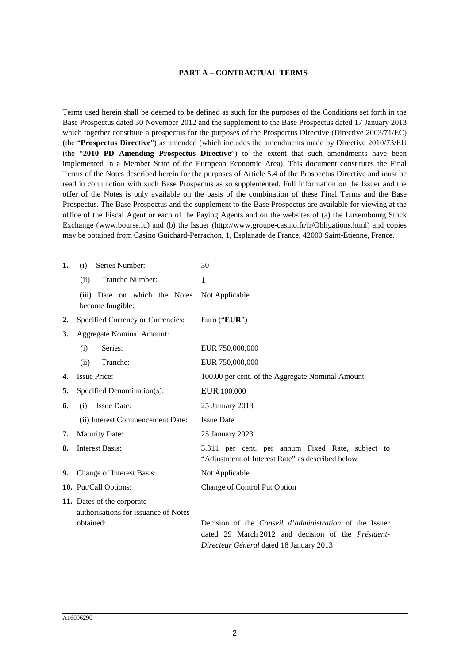#### **PART A – CONTRACTUAL TERMS**

Terms used herein shall be deemed to be defined as such for the purposes of the Conditions set forth in the Base Prospectus dated 30 November 2012 and the supplement to the Base Prospectus dated 17 January 2013 which together constitute a prospectus for the purposes of the Prospectus Directive (Directive 2003/71/EC) (the "**Prospectus Directive**") as amended (which includes the amendments made by Directive 2010/73/EU (the "**2010 PD Amending Prospectus Directive**") to the extent that such amendments have been implemented in a Member State of the European Economic Area). This document constitutes the Final Terms of the Notes described herein for the purposes of Article 5.4 of the Prospectus Directive and must be read in conjunction with such Base Prospectus as so supplemented. Full information on the Issuer and the offer of the Notes is only available on the basis of the combination of these Final Terms and the Base Prospectus. The Base Prospectus and the supplement to the Base Prospectus are available for viewing at the office of the Fiscal Agent or each of the Paying Agents and on the websites of (a) the Luxembourg Stock Exchange (www.bourse.lu) and (b) the Issuer (http://www.groupe-casino.fr/fr/Obligations.html) and copies may be obtained from Casino Guichard-Perrachon, 1, Esplanade de France, 42000 Saint-Etienne, France.

| 1.               | Series Number:<br>(i)                                              | 30                                                                                                                                                                     |  |
|------------------|--------------------------------------------------------------------|------------------------------------------------------------------------------------------------------------------------------------------------------------------------|--|
|                  | Tranche Number:<br>(ii)                                            | 1                                                                                                                                                                      |  |
|                  | (iii) Date on which the Notes<br>become fungible:                  | Not Applicable                                                                                                                                                         |  |
| $\overline{2}$ . | Specified Currency or Currencies:                                  | Euro ("EUR")                                                                                                                                                           |  |
| 3.               | <b>Aggregate Nominal Amount:</b>                                   |                                                                                                                                                                        |  |
|                  | Series:<br>(i)                                                     | EUR 750,000,000                                                                                                                                                        |  |
|                  | Tranche:<br>(ii)                                                   | EUR 750,000,000                                                                                                                                                        |  |
| 4.               | <b>Issue Price:</b>                                                | 100.00 per cent. of the Aggregate Nominal Amount                                                                                                                       |  |
| 5.               | Specified Denomination(s):                                         | EUR 100,000                                                                                                                                                            |  |
| 6.               | <b>Issue Date:</b><br>(i)                                          | 25 January 2013                                                                                                                                                        |  |
|                  | (ii) Interest Commencement Date:                                   | <b>Issue Date</b>                                                                                                                                                      |  |
| 7.               | <b>Maturity Date:</b>                                              | 25 January 2023                                                                                                                                                        |  |
| 8.               | <b>Interest Basis:</b>                                             | 3.311 per cent. per annum Fixed Rate, subject to<br>"Adjustment of Interest Rate" as described below                                                                   |  |
| 9.               | Change of Interest Basis:                                          | Not Applicable                                                                                                                                                         |  |
|                  | 10. Put/Call Options:                                              | Change of Control Put Option                                                                                                                                           |  |
|                  | 11. Dates of the corporate<br>authorisations for issuance of Notes |                                                                                                                                                                        |  |
|                  | obtained:                                                          | Decision of the <i>Conseil d'administration</i> of the Issuer<br>dated 29 March 2012 and decision of the <i>Président</i> -<br>Directeur Général dated 18 January 2013 |  |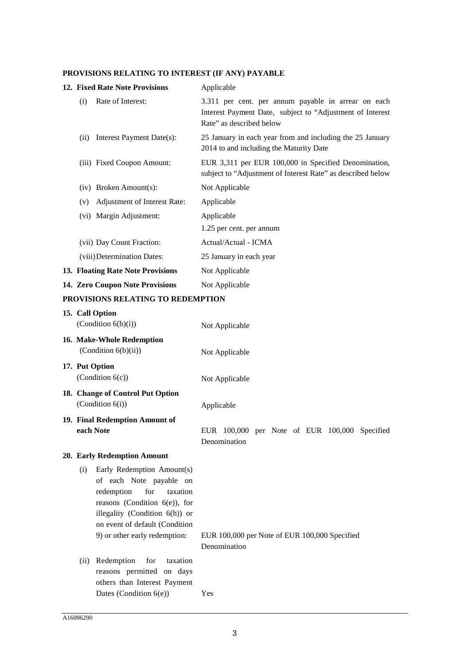# **PROVISIONS RELATING TO INTEREST (IF ANY) PAYABLE**

|                                     |      | 12. Fixed Rate Note Provisions    | Applicable                                                                                                                                   |
|-------------------------------------|------|-----------------------------------|----------------------------------------------------------------------------------------------------------------------------------------------|
|                                     | (i)  | Rate of Interest:                 | 3.311 per cent. per annum payable in arrear on each<br>Interest Payment Date, subject to "Adjustment of Interest<br>Rate" as described below |
|                                     | (ii) | Interest Payment Date(s):         | 25 January in each year from and including the 25 January<br>2014 to and including the Maturity Date                                         |
|                                     |      | (iii) Fixed Coupon Amount:        | EUR 3,311 per EUR 100,000 in Specified Denomination,<br>subject to "Adjustment of Interest Rate" as described below                          |
|                                     |      | $(iv)$ Broken Amount $(s)$ :      | Not Applicable                                                                                                                               |
|                                     | (v)  | Adjustment of Interest Rate:      | Applicable                                                                                                                                   |
|                                     |      | (vi) Margin Adjustment:           | Applicable                                                                                                                                   |
|                                     |      |                                   | 1.25 per cent. per annum                                                                                                                     |
|                                     |      | (vii) Day Count Fraction:         | Actual/Actual - ICMA                                                                                                                         |
|                                     |      | (viii) Determination Dates:       | 25 January in each year                                                                                                                      |
|                                     |      | 13. Floating Rate Note Provisions | Not Applicable                                                                                                                               |
|                                     |      | 14. Zero Coupon Note Provisions   | Not Applicable                                                                                                                               |
| DDAVICIANC DEL 1 TINA TA DEDEMBTIAN |      |                                   |                                                                                                                                              |

# **PROVISIONS RELATING TO REDEMPTION**

| 15. Call Option<br>(Condition $6(b)(i)$ )                                                                                                                                                                                                 | Not Applicable                                                |
|-------------------------------------------------------------------------------------------------------------------------------------------------------------------------------------------------------------------------------------------|---------------------------------------------------------------|
| 16. Make-Whole Redemption<br>(Condition $6(b)(ii)$ )                                                                                                                                                                                      | Not Applicable                                                |
| 17. Put Option<br>(Condition $6(c)$ )                                                                                                                                                                                                     | Not Applicable                                                |
| 18. Change of Control Put Option<br>(Condition 6(i))                                                                                                                                                                                      | Applicable                                                    |
| 19. Final Redemption Amount of<br>each Note                                                                                                                                                                                               | EUR 100,000 per Note of EUR 100,000 Specified<br>Denomination |
| 20. Early Redemption Amount                                                                                                                                                                                                               |                                                               |
| Early Redemption Amount(s)<br>(i)<br>of each Note payable on<br>for<br>redemption<br>taxation<br>reasons (Condition $6(e)$ ), for<br>illegality (Condition $6(h)$ ) or<br>on event of default (Condition<br>9) or other early redemption: | EUR 100,000 per Note of EUR 100,000 Specified<br>Denomination |
| Redemption<br>for<br>taxation<br>(ii)<br>reasons permitted on days<br>others than Interest Payment<br>Dates (Condition $6(e)$ )                                                                                                           | Yes                                                           |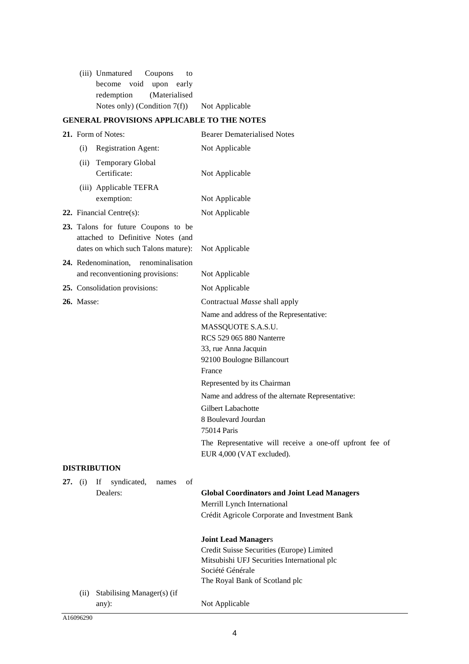| (iii) Unmatured Coupons to      |  |                |
|---------------------------------|--|----------------|
| become void upon early          |  |                |
| redemption (Materialised        |  |                |
| Notes only) (Condition $7(f)$ ) |  | Not Applicable |

# **GENERAL PROVISIONS APPLICABLE TO THE NOTES**

|                                                   | 21. Form of Notes:                                                                                              | <b>Bearer Dematerialised Notes</b>                                                    |  |
|---------------------------------------------------|-----------------------------------------------------------------------------------------------------------------|---------------------------------------------------------------------------------------|--|
|                                                   | Registration Agent:<br>(i)                                                                                      | Not Applicable                                                                        |  |
|                                                   | (ii) Temporary Global<br>Certificate:                                                                           | Not Applicable                                                                        |  |
|                                                   | (iii) Applicable TEFRA                                                                                          |                                                                                       |  |
|                                                   | exemption:                                                                                                      | Not Applicable                                                                        |  |
|                                                   | 22. Financial Centre $(s)$ :                                                                                    | Not Applicable                                                                        |  |
|                                                   | 23. Talons for future Coupons to be<br>attached to Definitive Notes (and<br>dates on which such Talons mature): | Not Applicable                                                                        |  |
|                                                   | 24. Redenomination, renominalisation                                                                            |                                                                                       |  |
| and reconventioning provisions:<br>Not Applicable |                                                                                                                 |                                                                                       |  |
|                                                   | 25. Consolidation provisions:                                                                                   | Not Applicable                                                                        |  |
| <b>26.</b> Masse:                                 |                                                                                                                 | Contractual Masse shall apply                                                         |  |
|                                                   |                                                                                                                 | Name and address of the Representative:                                               |  |
|                                                   |                                                                                                                 | MASSQUOTE S.A.S.U.                                                                    |  |
|                                                   |                                                                                                                 | RCS 529 065 880 Nanterre                                                              |  |
|                                                   |                                                                                                                 | 33, rue Anna Jacquin                                                                  |  |
|                                                   |                                                                                                                 | 92100 Boulogne Billancourt                                                            |  |
|                                                   |                                                                                                                 | France                                                                                |  |
|                                                   |                                                                                                                 | Represented by its Chairman                                                           |  |
|                                                   |                                                                                                                 | Name and address of the alternate Representative:                                     |  |
|                                                   |                                                                                                                 | Gilbert Labachotte                                                                    |  |
|                                                   |                                                                                                                 | 8 Boulevard Jourdan                                                                   |  |
|                                                   |                                                                                                                 | 75014 Paris                                                                           |  |
|                                                   |                                                                                                                 | The Representative will receive a one-off upfront fee of<br>EUR 4,000 (VAT excluded). |  |
|                                                   |                                                                                                                 |                                                                                       |  |
|                                                   | <b>DISTRIBUTION</b>                                                                                             |                                                                                       |  |
|                                                   | 27. (i) If syndicated, names of<br>Dealers:                                                                     |                                                                                       |  |
|                                                   |                                                                                                                 | <b>Global Coordinators and Joint Lead Managers</b><br>Merrill Lynch International     |  |
|                                                   |                                                                                                                 | Crédit Agricole Corporate and Investment Bank                                         |  |
|                                                   |                                                                                                                 |                                                                                       |  |
|                                                   |                                                                                                                 | <b>Joint Lead Managers</b>                                                            |  |
|                                                   |                                                                                                                 | Credit Suisse Securities (Europe) Limited                                             |  |
|                                                   |                                                                                                                 | Mitsubishi UFJ Securities International plc                                           |  |
|                                                   |                                                                                                                 | Société Générale                                                                      |  |
|                                                   |                                                                                                                 | The Royal Bank of Scotland plc                                                        |  |
|                                                   | Stabilising Manager(s) (if<br>(ii)<br>any):                                                                     | Not Applicable                                                                        |  |
|                                                   |                                                                                                                 |                                                                                       |  |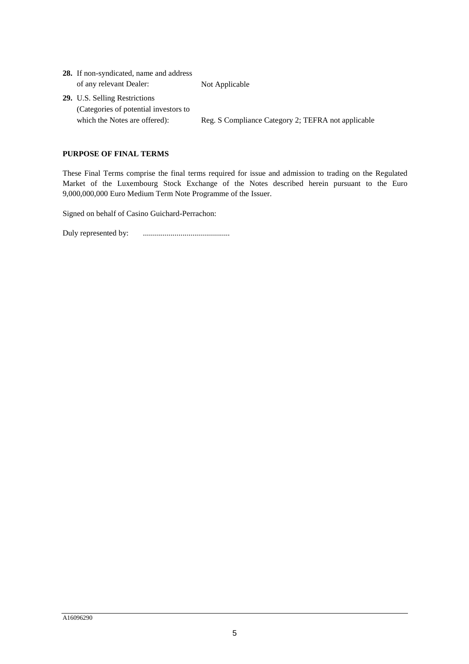| <b>28.</b> If non-syndicated, name and address |                                                    |
|------------------------------------------------|----------------------------------------------------|
| of any relevant Dealer:                        | Not Applicable                                     |
| <b>29.</b> U.S. Selling Restrictions           |                                                    |
| (Categories of potential investors to          |                                                    |
| which the Notes are offered):                  | Reg. S Compliance Category 2; TEFRA not applicable |
|                                                |                                                    |

# **PURPOSE OF FINAL TERMS**

These Final Terms comprise the final terms required for issue and admission to trading on the Regulated Market of the Luxembourg Stock Exchange of the Notes described herein pursuant to the Euro 9,000,000,000 Euro Medium Term Note Programme of the Issuer.

Signed on behalf of Casino Guichard-Perrachon:

Duly represented by: ............................................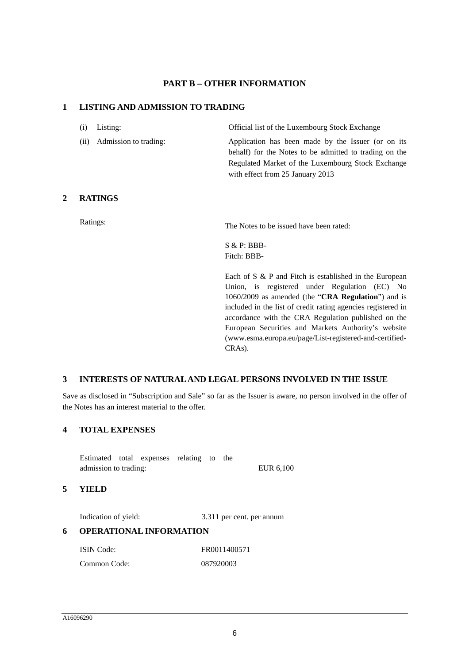# **PART B – OTHER INFORMATION**

### **1 LISTING AND ADMISSION TO TRADING**

| $(i)$ Listing:             | Official list of the Luxembourg Stock Exchange         |
|----------------------------|--------------------------------------------------------|
| (ii) Admission to trading: | Application has been made by the Issuer (or on its     |
|                            | behalf) for the Notes to be admitted to trading on the |
|                            | Regulated Market of the Luxembourg Stock Exchange      |
|                            | with effect from 25 January 2013                       |

### **2 RATINGS**

Ratings: The Notes to be issued have been rated:

S & P: BBB-Fitch: BBB-

Each of S & P and Fitch is established in the European Union, is registered under Regulation (EC) No 1060/2009 as amended (the "**CRA Regulation**") and is included in the list of credit rating agencies registered in accordance with the CRA Regulation published on the European Securities and Markets Authority's website (www.esma.europa.eu/page/List-registered-and-certified-CRAs).

### **3 INTERESTS OF NATURAL AND LEGAL PERSONS INVOLVED IN THE ISSUE**

Save as disclosed in "Subscription and Sale" so far as the Issuer is aware, no person involved in the offer of the Notes has an interest material to the offer.

## **4 TOTAL EXPENSES**

Estimated total expenses relating to the admission to trading: EUR 6,100

### **5 YIELD**

Indication of yield: 3.311 per cent. per annum

## **6 OPERATIONAL INFORMATION**

| ISIN Code:   | FR0011400571 |
|--------------|--------------|
| Common Code: | 087920003    |